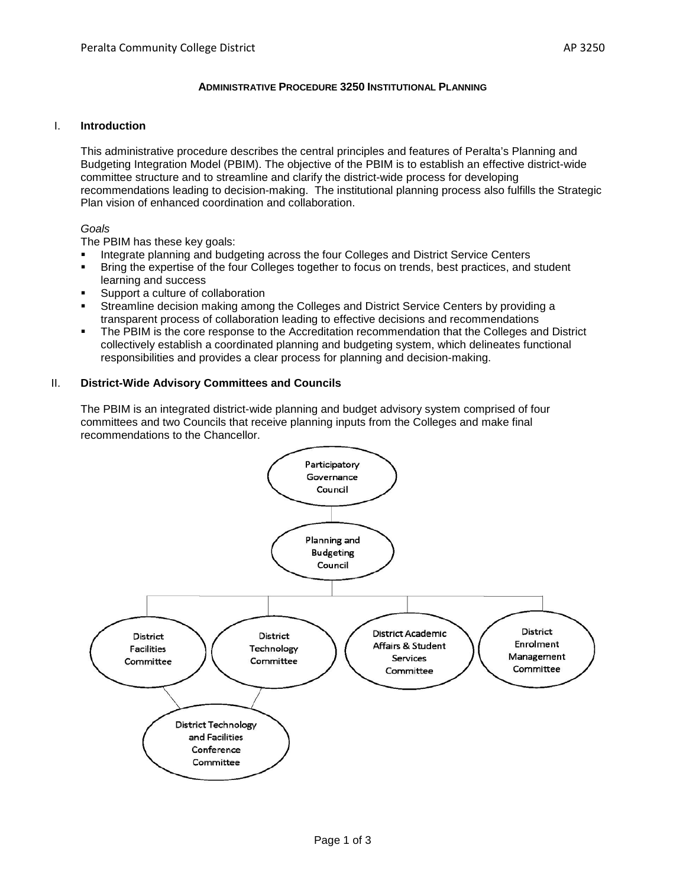# **ADMINISTRATIVE PROCEDURE 3250 INSTITUTIONAL PLANNING**

#### I. **Introduction**

This administrative procedure describes the central principles and features of Peralta's Planning and Budgeting Integration Model (PBIM). The objective of the PBIM is to establish an effective district-wide committee structure and to streamline and clarify the district-wide process for developing recommendations leading to decision-making. The institutional planning process also fulfills the Strategic Plan vision of enhanced coordination and collaboration.

# *Goals*

The PBIM has these key goals:

- Integrate planning and budgeting across the four Colleges and District Service Centers
- Bring the expertise of the four Colleges together to focus on trends, best practices, and student learning and success
- Support a culture of collaboration
- Streamline decision making among the Colleges and District Service Centers by providing a transparent process of collaboration leading to effective decisions and recommendations
- The PBIM is the core response to the Accreditation recommendation that the Colleges and District collectively establish a coordinated planning and budgeting system, which delineates functional responsibilities and provides a clear process for planning and decision-making.

## II. **District-Wide Advisory Committees and Councils**

The PBIM is an integrated district-wide planning and budget advisory system comprised of four committees and two Councils that receive planning inputs from the Colleges and make final recommendations to the Chancellor.

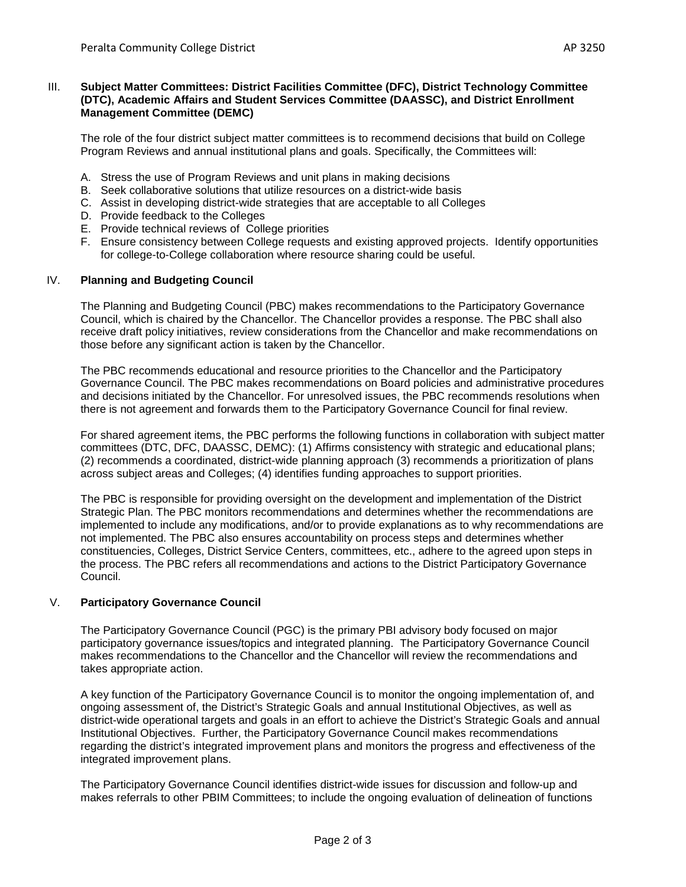## III. **Subject Matter Committees: District Facilities Committee (DFC), District Technology Committee (DTC), Academic Affairs and Student Services Committee (DAASSC), and District Enrollment Management Committee (DEMC)**

The role of the four district subject matter committees is to recommend decisions that build on College Program Reviews and annual institutional plans and goals. Specifically, the Committees will:

- A. Stress the use of Program Reviews and unit plans in making decisions
- B. Seek collaborative solutions that utilize resources on a district-wide basis
- C. Assist in developing district-wide strategies that are acceptable to all Colleges
- D. Provide feedback to the Colleges
- E. Provide technical reviews of College priorities
- F. Ensure consistency between College requests and existing approved projects. Identify opportunities for college-to-College collaboration where resource sharing could be useful.

## IV. **Planning and Budgeting Council**

The Planning and Budgeting Council (PBC) makes recommendations to the Participatory Governance Council, which is chaired by the Chancellor. The Chancellor provides a response. The PBC shall also receive draft policy initiatives, review considerations from the Chancellor and make recommendations on those before any significant action is taken by the Chancellor.

The PBC recommends educational and resource priorities to the Chancellor and the Participatory Governance Council. The PBC makes recommendations on Board policies and administrative procedures and decisions initiated by the Chancellor. For unresolved issues, the PBC recommends resolutions when there is not agreement and forwards them to the Participatory Governance Council for final review.

For shared agreement items, the PBC performs the following functions in collaboration with subject matter committees (DTC, DFC, DAASSC, DEMC): (1) Affirms consistency with strategic and educational plans; (2) recommends a coordinated, district-wide planning approach (3) recommends a prioritization of plans across subject areas and Colleges; (4) identifies funding approaches to support priorities.

The PBC is responsible for providing oversight on the development and implementation of the District Strategic Plan. The PBC monitors recommendations and determines whether the recommendations are implemented to include any modifications, and/or to provide explanations as to why recommendations are not implemented. The PBC also ensures accountability on process steps and determines whether constituencies, Colleges, District Service Centers, committees, etc., adhere to the agreed upon steps in the process. The PBC refers all recommendations and actions to the District Participatory Governance Council.

#### V. **Participatory Governance Council**

The Participatory Governance Council (PGC) is the primary PBI advisory body focused on major participatory governance issues/topics and integrated planning. The Participatory Governance Council makes recommendations to the Chancellor and the Chancellor will review the recommendations and takes appropriate action.

A key function of the Participatory Governance Council is to monitor the ongoing implementation of, and ongoing assessment of, the District's Strategic Goals and annual Institutional Objectives, as well as district-wide operational targets and goals in an effort to achieve the District's Strategic Goals and annual Institutional Objectives. Further, the Participatory Governance Council makes recommendations regarding the district's integrated improvement plans and monitors the progress and effectiveness of the integrated improvement plans.

The Participatory Governance Council identifies district-wide issues for discussion and follow-up and makes referrals to other PBIM Committees; to include the ongoing evaluation of delineation of functions